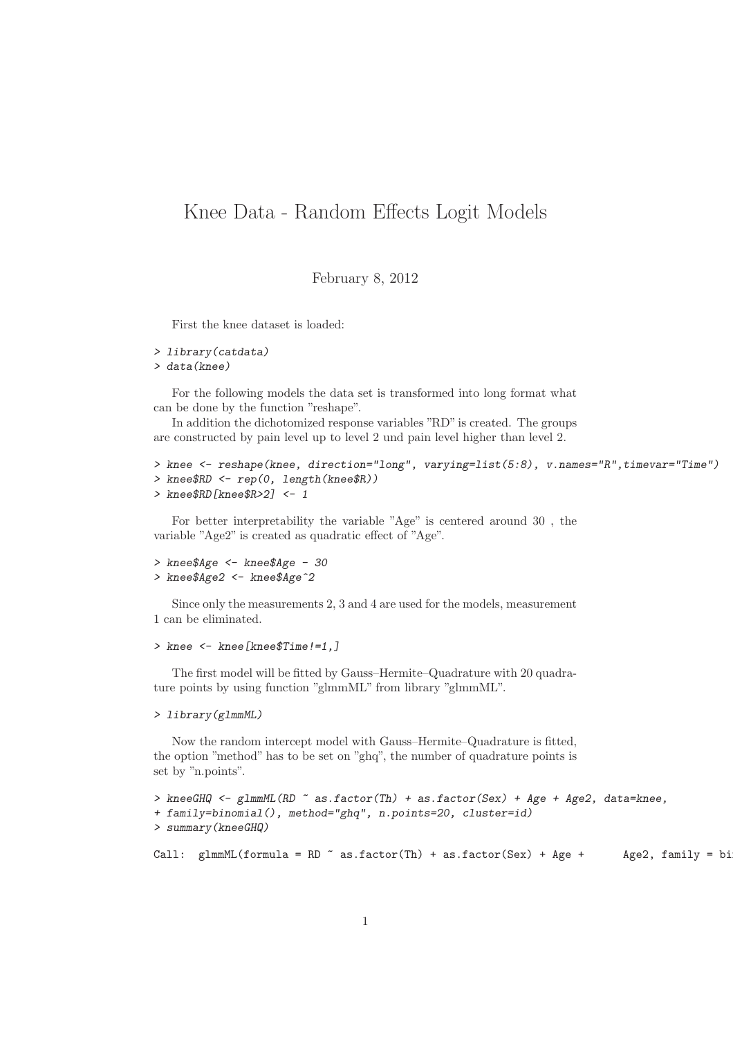## Knee Data - Random Effects Logit Models

February 8, 2012

First the knee dataset is loaded:

```
> library(catdata)
> data(knee)
```
For the following models the data set is transformed into long format what can be done by the function "reshape".

In addition the dichotomized response variables "RD" is created. The groups are constructed by pain level up to level 2 und pain level higher than level 2.

```
> knee <- reshape(knee, direction="long", varying=list(5:8), v.names="R",timevar="Time")
> knee$RD <- rep(0, length(knee$R))
> knee$RD[knee$R>2] <- 1
```
For better interpretability the variable "Age" is centered around 30 , the variable "Age2" is created as quadratic effect of "Age".

```
> knee$Age <- knee$Age - 30
> knee$Age2 <- knee$Age^2
```
Since only the measurements 2, 3 and 4 are used for the models, measurement 1 can be eliminated.

```
> knee <- knee[knee$Time!=1,]
```
The first model will be fitted by Gauss–Hermite–Quadrature with 20 quadrature points by using function "glmmML" from library "glmmML".

```
> library(glmmML)
```
Now the random intercept model with Gauss–Hermite–Quadrature is fitted, the option "method" has to be set on "ghq", the number of quadrature points is set by "n.points".

```
> kneeGHQ <- glmmML(RD ~ as.factor(Th) + as.factor(Sex) + Age + Age2, data=knee,
+ family=binomial(), method="ghq", n.points=20, cluster=id)
> summary(kneeGHQ)
Call: glmmML(formula = RD \tilde{}} as.factor(Th) + as.factor(Sex) + Age + Age2, family = bi
```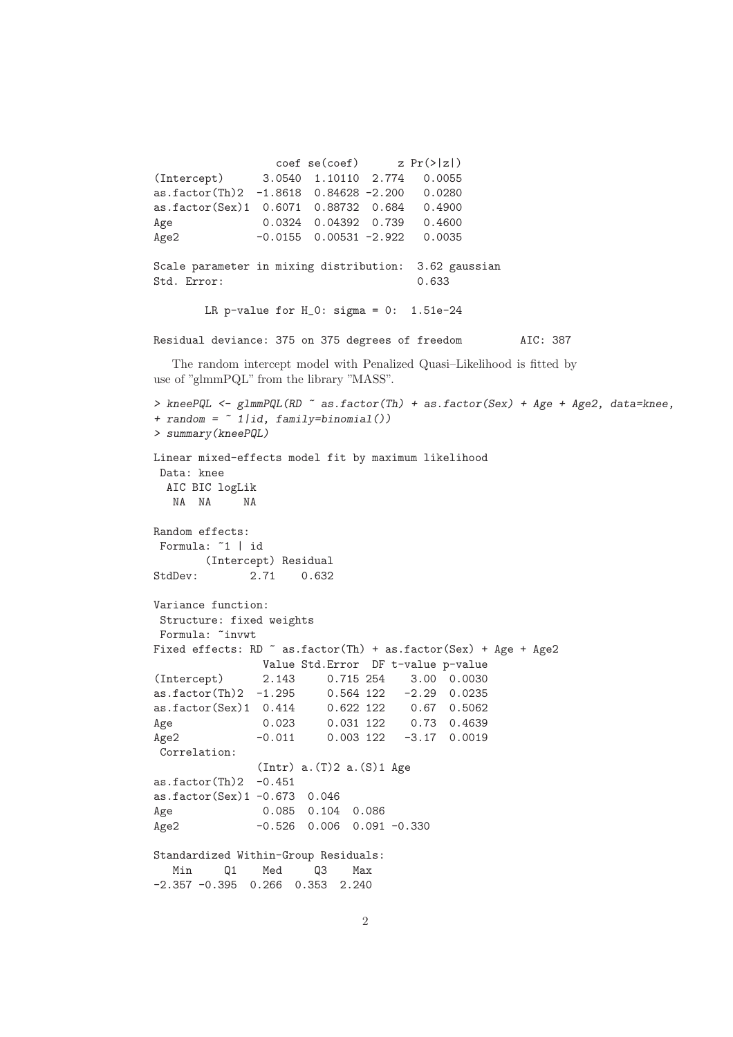$\c{o}$  coef se( $\c{o}$ ef) z Pr( $>|z|$ ) (Intercept) 3.0540 1.10110 2.774 0.0055 as.factor(Th)2 -1.8618 0.84628 -2.200 0.0280 as.factor(Sex)1 0.6071 0.88732 0.684 0.4900 Age 0.0324 0.04392 0.739 0.4600 Age2 -0.0155 0.00531 -2.922 0.0035 Scale parameter in mixing distribution: 3.62 gaussian Std. Error: 0.633 LR p-value for  $H_0$ : sigma = 0: 1.51e-24 Residual deviance: 375 on 375 degrees of freedom AIC: 387 The random intercept model with Penalized Quasi–Likelihood is fitted by use of "glmmPQL" from the library "MASS". *> kneePQL <- glmmPQL(RD ~ as.factor(Th) + as.factor(Sex) + Age + Age2, data=knee, + random = ~ 1|id, family=binomial()) > summary(kneePQL)* Linear mixed-effects model fit by maximum likelihood Data: knee AIC BIC logLik NA NA NA Random effects: Formula: ~1 | id (Intercept) Residual StdDev: 2.71 0.632 Variance function: Structure: fixed weights Formula: ~invwt Fixed effects: RD  $\tilde{ }$  as.factor(Th) + as.factor(Sex) + Age + Age2 Value Std.Error DF t-value p-value (Intercept) 2.143 0.715 254 3.00 0.0030 as.factor(Th)2 -1.295 0.564 122 -2.29 0.0235 as.factor(Sex)1 0.414 0.622 122 0.67 0.5062 Age 0.023 0.031 122 0.73 0.4639 Age2 -0.011 0.003 122 -3.17 0.0019 Correlation:  $(Intr)$  a. $(T)$ 2 a. $(S)$ 1 Age as.factor $(Th)2 -0.451$ as.factor(Sex)1 -0.673 0.046 Age 0.085 0.104 0.086 Age2 -0.526 0.006 0.091 -0.330 Standardized Within-Group Residuals: Min Q1 Med Q3 Max -2.357 -0.395 0.266 0.353 2.240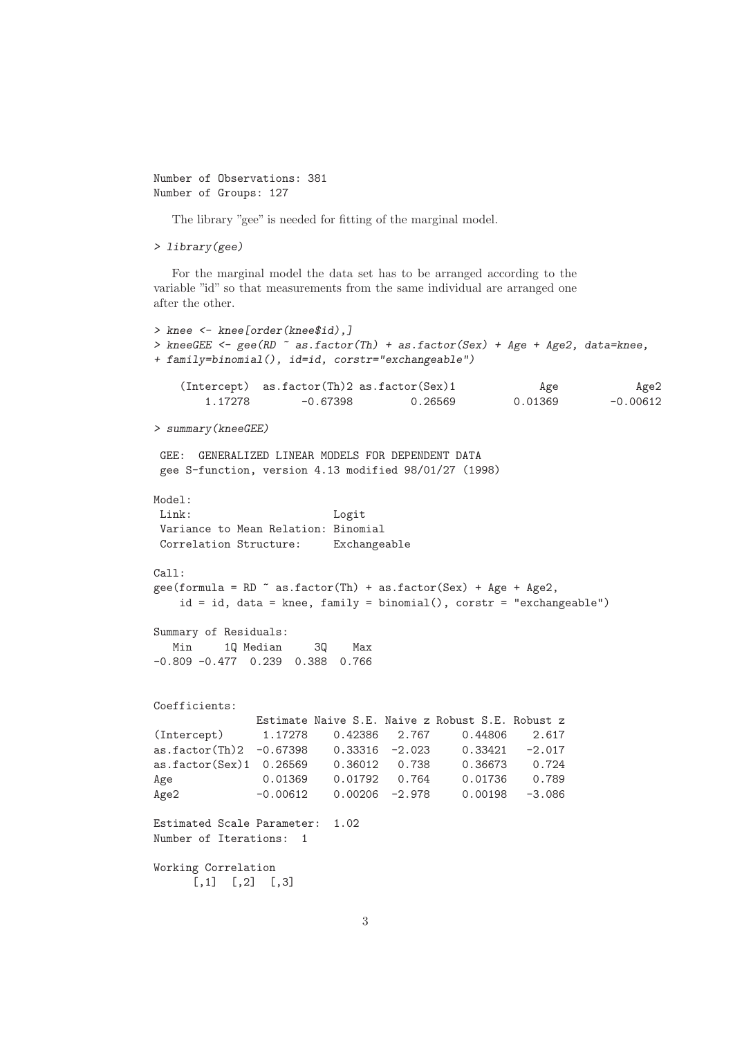```
Number of Observations: 381
Number of Groups: 127
```
The library "gee" is needed for fitting of the marginal model.

```
> library(gee)
```
For the marginal model the data set has to be arranged according to the variable "id" so that measurements from the same individual are arranged one after the other.

```
> knee <- knee[order(knee$id),]
> kneeGEE <- gee(RD ~ as.factor(Th) + as.factor(Sex) + Age + Age2, data=knee,
+ family=binomial(), id=id, corstr="exchangeable")
    (Intercept) as.factor(Th)2 as.factor(Sex)1 Age Age2
       1.17278 -0.67398 0.26569 0.01369 -0.00612
> summary(kneeGEE)
 GEE: GENERALIZED LINEAR MODELS FOR DEPENDENT DATA
 gee S-function, version 4.13 modified 98/01/27 (1998)
Model:
Link: Logit
 Variance to Mean Relation: Binomial<br>Correlation Structure: Exchangeable
Correlation Structure:
Call:
gee(formula = RD \tilde{ } as.factor(Th) + as.factor(Sex) + Age + Age2,
   id = id, data = knee, family = binomial(), corstr = "exchangeable")
Summary of Residuals:
  Min 1Q Median 3Q Max
-0.809 -0.477 0.239 0.388 0.766
Coefficients:
              Estimate Naive S.E. Naive z Robust S.E. Robust z
(Intercept) 1.17278 0.42386 2.767 0.44806 2.617
as.factor(Th)2 -0.67398 0.33316 -2.023 0.33421 -2.017
as.factor(Sex)1 0.26569 0.36012 0.738 0.36673 0.724
Age 0.01369 0.01792 0.764 0.01736 0.789
Age2 -0.00612 0.00206 -2.978 0.00198 -3.086
Estimated Scale Parameter: 1.02
Number of Iterations: 1
Working Correlation
     [,1] [,2] [,3]
```